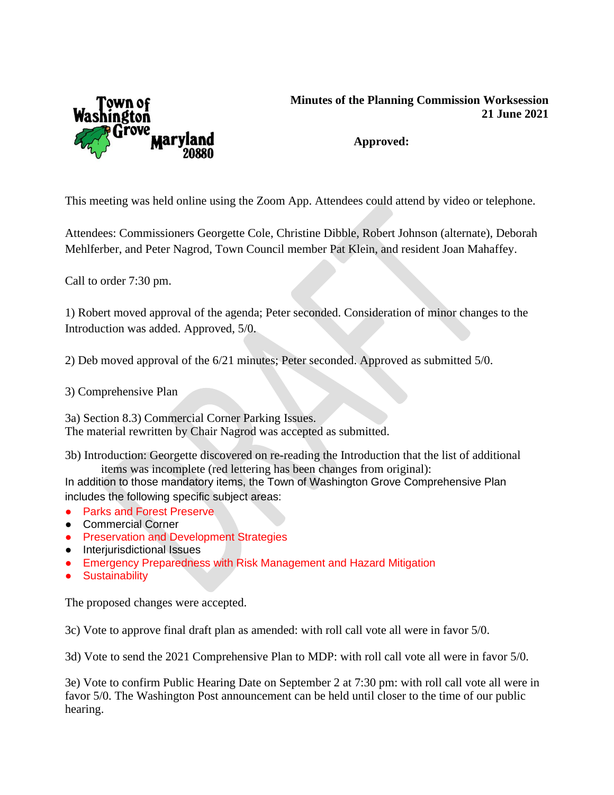

## **Minutes of the Planning Commission Worksession 21 June 2021**

## **Approved:**

This meeting was held online using the Zoom App. Attendees could attend by video or telephone.

Attendees: Commissioners Georgette Cole, Christine Dibble, Robert Johnson (alternate), Deborah Mehlferber, and Peter Nagrod, Town Council member Pat Klein, and resident Joan Mahaffey.

Call to order 7:30 pm.

1) Robert moved approval of the agenda; Peter seconded. Consideration of minor changes to the Introduction was added. Approved, 5/0.

2) Deb moved approval of the 6/21 minutes; Peter seconded. Approved as submitted 5/0.

3) Comprehensive Plan

3a) Section 8.3) Commercial Corner Parking Issues. The material rewritten by Chair Nagrod was accepted as submitted.

3b) Introduction: Georgette discovered on re-reading the Introduction that the list of additional items was incomplete (red lettering has been changes from original):

In addition to those mandatory items, the Town of Washington Grove Comprehensive Plan includes the following specific subject areas:

- Parks and Forest Preserve
- Commercial Corner
- Preservation and Development Strategies
- Interjurisdictional Issues
- Emergency Preparedness with Risk Management and Hazard Mitigation
- **•** Sustainability

The proposed changes were accepted.

3c) Vote to approve final draft plan as amended: with roll call vote all were in favor 5/0.

3d) Vote to send the 2021 Comprehensive Plan to MDP: with roll call vote all were in favor 5/0.

3e) Vote to confirm Public Hearing Date on September 2 at 7:30 pm: with roll call vote all were in favor 5/0. The Washington Post announcement can be held until closer to the time of our public hearing.